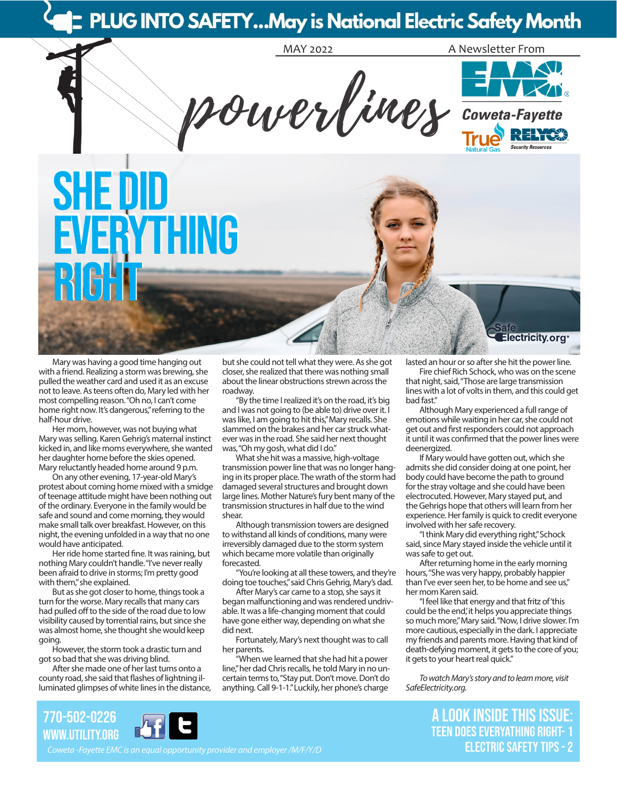# PLUG INTO SAFETY... May is National Electric Safety Month

MAY 2022 A Newsletter From

Owerlines Coweta-Fayette



SHE DID EVERYTHING EVERYTHING RIGHT RIGHT

Mary was having a good time hanging out with a friend. Realizing a storm was brewing, she pulled the weather card and used it as an excuse not to leave. As teens often do, Mary led with her most compelling reason. "Oh no, I can't come home right now. It's dangerous," referring to the half-hour drive.

Her mom, however, was not buying what Mary was selling. Karen Gehrig's maternal instinct kicked in, and like moms everywhere, she wanted her daughter home before the skies opened. Mary reluctantly headed home around 9 p.m.

On any other evening, 17-year-old Mary's protest about coming home mixed with a smidge of teenage attitude might have been nothing out of the ordinary. Everyone in the family would be safe and sound and come morning, they would make small talk over breakfast. However, on this night, the evening unfolded in a way that no one would have anticipated.

Her ride home started fine. It was raining, but nothing Mary couldn't handle. "I've never really been afraid to drive in storms; I'm pretty good with them," she explained.

But as she got closer to home, things took a turn for the worse. Mary recalls that many cars had pulled off to the side of the road due to low visibility caused by torrential rains, but since she was almost home, she thought she would keep going.

However, the storm took a drastic turn and got so bad that she was driving blind.

After she made one of her last turns onto a county road, she said that flashes of lightning illuminated glimpses of white lines in the distance,

770-502-0226 www.utility.org but she could not tell what they were. As she got closer, she realized that there was nothing small about the linear obstructions strewn across the roadway.

"By the time I realized it's on the road, it's big and I was not going to (be able to) drive over it. I was like, I am going to hit this," Mary recalls. She slammed on the brakes and her car struck whatever was in the road. She said her next thought was, "Oh my gosh, what did I do."

What she hit was a massive, high-voltage transmission power line that was no longer hanging in its proper place. The wrath of the storm had damaged several structures and brought down large lines. Mother Nature's fury bent many of the transmission structures in half due to the wind shear.

Although transmission towers are designed to withstand all kinds of conditions, many were irreversibly damaged due to the storm system which became more volatile than originally forecasted.

"You're looking at all these towers, and they're doing toe touches," said Chris Gehrig, Mary's dad.

After Mary's car came to a stop, she says it began malfunctioning and was rendered undrivable. It was a life-changing moment that could have gone either way, depending on what she did next.

Fortunately, Mary's next thought was to call her parents.

"When we learned that she had hit a power line," her dad Chris recalls, he told Mary in no uncertain terms to, "Stay put. Don't move. Don't do anything. Call 9-1-1." Luckily, her phone's charge lasted an hour or so after she hit the power line.

Electricity.org

Fire chief Rich Schock, who was on the scene that night, said, "Those are large transmission lines with a lot of volts in them, and this could get bad fast."

Although Mary experienced a full range of emotions while waiting in her car, she could not get out and first responders could not approach it until it was confirmed that the power lines were deenergized.

If Mary would have gotten out, which she admits she did consider doing at one point, her body could have become the path to ground for the stray voltage and she could have been electrocuted. However, Mary stayed put, and the Gehrigs hope that others will learn from her experience. Her family is quick to credit everyone involved with her safe recovery.

"I think Mary did everything right," Schock said, since Mary stayed inside the vehicle until it was safe to get out.

After returning home in the early morning hours, "She was very happy, probably happier than I've ever seen her, to be home and see us," her mom Karen said.

"I feel like that energy and that fritz of 'this could be the end,' it helps you appreciate things so much more," Mary said. "Now, I drive slower. I'm more cautious, especially in the dark. I appreciate my friends and parents more. Having that kind of death-defying moment, it gets to the core of you; it gets to your heart real quick."

*To watch Mary's story and to learn more, visit SafeElectricity.org.*

# A LOOK INSIDE THIS ISSUE: TEEN DOES EVERYATHING RIGHT- 1

*Coweta -Fayette EMC is an equal opportunity provider and employer /M/F/Y/D* ELECTRIC SAFETY TIPS - 2